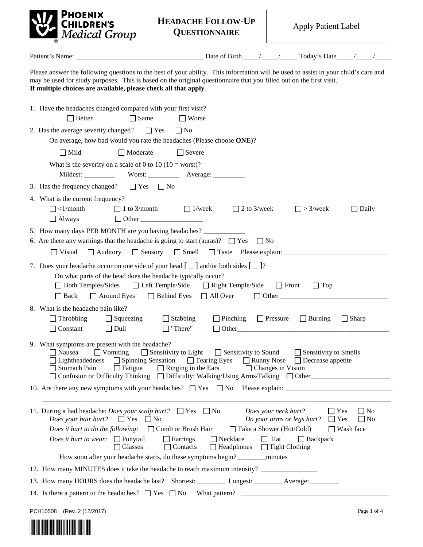

| <b>HEADACHE FOLLOW-UP</b> | <b>Apply Patient Label</b> |
|---------------------------|----------------------------|
| <b>QUESTIONNAIRE</b>      |                            |

| Patient's Name:                                                                                                                                                                                                                                                                                                               |                                                                                                              |                                                                                                                              |                                                          |                                            |
|-------------------------------------------------------------------------------------------------------------------------------------------------------------------------------------------------------------------------------------------------------------------------------------------------------------------------------|--------------------------------------------------------------------------------------------------------------|------------------------------------------------------------------------------------------------------------------------------|----------------------------------------------------------|--------------------------------------------|
| Please answer the following questions to the best of your ability. This information will be used to assist in your child's care and<br>may be used for study purposes. This is based on the original questionnaire that you filled out on the first visit.<br>If multiple choices are available, please check all that apply. |                                                                                                              |                                                                                                                              |                                                          |                                            |
| 1. Have the headaches changed compared with your first visit?<br>$\Box$ Better<br>$\Box$ Same                                                                                                                                                                                                                                 | $\Box$ Worse                                                                                                 |                                                                                                                              |                                                          |                                            |
| 2. Has the average severity changed? $\Box$ Yes<br>$\Box$ No<br>On average, how bad would you rate the headaches (Please choose ONE)?                                                                                                                                                                                         |                                                                                                              |                                                                                                                              |                                                          |                                            |
| $\Box$ Moderate<br>$\Box$ Mild                                                                                                                                                                                                                                                                                                | $\Box$ Severe                                                                                                |                                                                                                                              |                                                          |                                            |
| What is the severity on a scale of 0 to 10 (10 = worst)?                                                                                                                                                                                                                                                                      |                                                                                                              |                                                                                                                              |                                                          |                                            |
| 3. Has the frequency changed? $\Box$ Yes $\Box$ No                                                                                                                                                                                                                                                                            |                                                                                                              |                                                                                                                              |                                                          |                                            |
| 4. What is the current frequency?<br>$\Box$ <1/month<br>$\Box$ 1 to 3/month<br>$\Box$ Always                                                                                                                                                                                                                                  | $\Box$ 1/week<br>$\Box$ 2 to 3/week                                                                          |                                                                                                                              | $\Box$ > 3/week                                          | $\Box$ Daily                               |
| 5. How many days PER MONTH are you having headaches?<br>6. Are there any warnings that the headache is going to start (auras)? $\Box$ Yes<br>$\Box$ Visual                                                                                                                                                                    |                                                                                                              | $\Box$ No                                                                                                                    |                                                          |                                            |
| 7. Does your headache occur on one side of your head $\begin{bmatrix} 0 \\ 1 \end{bmatrix}$ and/or both sides $\begin{bmatrix} 0 \\ 0 \end{bmatrix}$ ?<br>On what parts of the head does the headache typically occur?<br>$\Box$ Both Temples/Sides<br>Around Eyes <b>Behind Eyes</b><br>$\Box$ Back                          | $\Box$ Left Temple/Side $\Box$ Right Temple/Side<br>$\Box$ All Over                                          | $\Box$ Front<br>$\Box$ Other                                                                                                 | $\Box$ Top                                               |                                            |
| 8. What is the headache pain like?<br>$\Box$ Throbbing<br>$\Box$ Squeezing<br>$\Box$ Stabbing<br>$\Box$ Dull<br>$\Box$ "There"<br>$\Box$ Constant                                                                                                                                                                             |                                                                                                              | $\Box$ Pinching $\Box$ Pressure $\Box$ Burning<br>$\Box$ Other                                                               |                                                          | $\Box$ Sharp                               |
| 9. What symptoms are present with the headache?<br>$\Box$ Vomiting<br>$\Box$ Nausea<br>$\Box$ Lightheadedness $\Box$ Spinning Sensation<br>□ Stomach Pain<br>$\Box$ Fatigue<br>□ Confusion or Difficulty Thinking □ Difficulty: Walking/Using Arms/Talking □ Other                                                            | $\Box$ Sensitivity to Light $\Box$ Sensitivity to Sound<br>$\Box$ Tearing Eyes<br>$\Box$ Ringing in the Ears | $\Box$ Runny Nose<br>$\Box$ Changes in Vision                                                                                | $\Box$ Sensitivity to Smells<br>$\Box$ Decrease appetite |                                            |
|                                                                                                                                                                                                                                                                                                                               |                                                                                                              |                                                                                                                              |                                                          |                                            |
| 11. During a bad headache: <i>Does your scalp hurt</i> ? $\Box$ Yes $\Box$ No<br><i>Does your hair hurt?</i> $\Box$ Yes<br>$\mathsf{I}$   No<br><i>Does it hurt to do the following:</i> $\Box$ Comb or Brush Hair<br><i>Does it hurt to wear:</i> $\Box$ Ponytail<br>$\Box$ Earrings<br>Glasses<br>$\Box$ Contacts           | $\Box$ Necklace<br>$\Box$ Headphones                                                                         | Does your neck hurt?<br>Do your arms or legs hurt?<br>$\Box$ Take a Shower (Hot/Cold)<br>$\Box$ Hat<br>$\Box$ Tight Clothing | $\Box$ Yes<br>$\Box$ Yes<br>$\Box$ Backpack              | $\Box$ No<br>$\Box$ No<br>$\Box$ Wash face |
|                                                                                                                                                                                                                                                                                                                               |                                                                                                              |                                                                                                                              |                                                          |                                            |
| 12. How many MINUTES does it take the headache to reach maximum intensity? _____________<br>13. How many HOURS does the headache last? Shortest: ___________ Longest: _________ Average: ________                                                                                                                             |                                                                                                              |                                                                                                                              |                                                          |                                            |
| 14. Is there a pattern to the headaches? $\Box$ Yes $\Box$ No                                                                                                                                                                                                                                                                 |                                                                                                              |                                                                                                                              |                                                          |                                            |
|                                                                                                                                                                                                                                                                                                                               |                                                                                                              |                                                                                                                              |                                                          |                                            |

PCH10508 (Rev. 2 (12/2017) Page 1 of 4

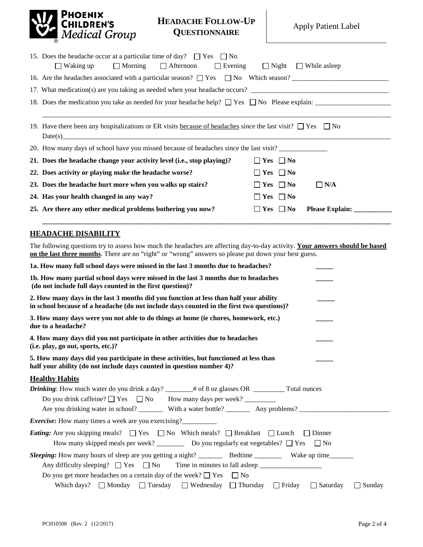

## **HEADACHE FOLLOW-UP QUESTIONNAIRE** Apply Patient Label

| 15. Does the headache occur at a particular time of day? $\Box$ Yes $\Box$ No                                         |                                    |
|-----------------------------------------------------------------------------------------------------------------------|------------------------------------|
| $\Box$ Morning $\Box$ Afternoon<br>$\Box$ Waking up<br>$\Box$ Evening                                                 | $\Box$ Night $\Box$ While as leep  |
|                                                                                                                       |                                    |
|                                                                                                                       |                                    |
|                                                                                                                       |                                    |
|                                                                                                                       |                                    |
| 19. Have there been any hospitalizations or ER visits because of headaches since the last visit? $\Box$ Yes $\Box$ No |                                    |
|                                                                                                                       |                                    |
| 20. How many days of school have you missed because of headaches since the last visit?                                |                                    |
| 21. Does the headache change your activity level (i.e., stop playing)?                                                | $\Box$ Yes $\Box$ No               |
| 22. Does activity or playing make the headache worse?                                                                 | $\Box$ Yes $\Box$ No               |
| 23. Does the headache hurt more when you walks up stairs?                                                             | $\Box$ N/A<br>$\Box$ Yes $\Box$ No |
| 24. Has your health changed in any way?                                                                               | $\Box$ Yes $\Box$ No               |
| 25. Are there any other medical problems bothering you now?                                                           | $\Box$ Yes $\Box$ No               |
|                                                                                                                       |                                    |

## **HEADACHE DISABILITY**

The following questions try to assess how much the headaches are affecting day-to-day activity. **Your answers should be based on the last three months**. There are no "right" or "wrong" answers so please put down your best guess.

| 1a. How many full school days were missed in the last 3 months due to headaches?                                                                                                                                                    |
|-------------------------------------------------------------------------------------------------------------------------------------------------------------------------------------------------------------------------------------|
| 1b. How many partial school days were missed in the last 3 months due to headaches<br>(do not include full days counted in the first question)?                                                                                     |
| 2. How many days in the last 3 months did you function at less than half your ability<br>in school because of a headache (do not include days counted in the first two questions)?                                                  |
| 3. How many days were you not able to do things at home (ie chores, homework, etc.)<br>due to a headache?                                                                                                                           |
| 4. How many days did you not participate in other activities due to headaches<br>(i.e. play, go out, sports, etc.)?                                                                                                                 |
| 5. How many days did you participate in these activities, but functioned at less than<br>half your ability (do not include days counted in question number 4)?                                                                      |
| <b>Healthy Habits</b>                                                                                                                                                                                                               |
| Drinking: How much water do you drink a day? _____# of 8 oz glasses OR ________ Total ounces                                                                                                                                        |
|                                                                                                                                                                                                                                     |
| Are you drinking water in school? __________ With a water bottle? ___________ Any problems? ______________                                                                                                                          |
| <i>Exercise:</i> How many times a week are you exercising?                                                                                                                                                                          |
| <i>Eating:</i> Are you skipping meals? $\Box$ Yes $\Box$ No Which meals? $\Box$ Breakfast $\Box$ Lunch<br>$\Box$ Dinner<br>How many skipped meals per week? ___________ Do you regularly eat vegetables? $\square$ Yes $\square$ No |
| Do you get more headaches on a certain day of the week? $\Box$ Yes $\Box$ No                                                                                                                                                        |
| Which days? $\Box$ Monday $\Box$ Tuesday $\Box$ Wednesday $\Box$ Thursday $\Box$ Friday $\Box$ Saturday<br>$\Box$ Sunday                                                                                                            |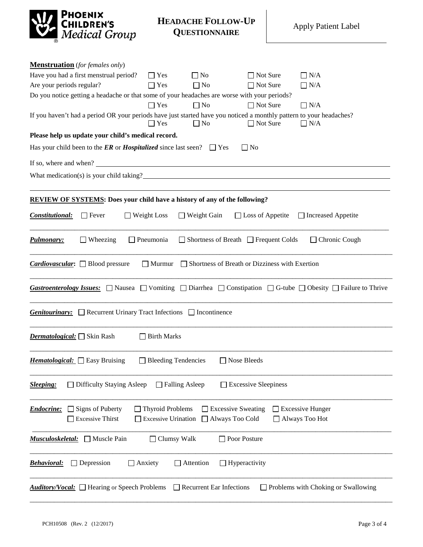

**HEADACHE FOLLOW-UP QUESTIONNAIRE** Apply Patient Label

| <b>Menstruation</b> (for females only)                                                                                                                  |                            |                                                  |                             |                                                   |
|---------------------------------------------------------------------------------------------------------------------------------------------------------|----------------------------|--------------------------------------------------|-----------------------------|---------------------------------------------------|
| Have you had a first menstrual period?                                                                                                                  | $\Box$ Yes                 | $\Box$ No                                        | $\Box$ Not Sure             | $\Box$ N/A                                        |
| Are your periods regular?                                                                                                                               | $\Box$ Yes                 | $\Box$ No                                        | $\Box$ Not Sure             | $\Box$ N/A                                        |
| Do you notice getting a headache or that some of your headaches are worse with your periods?                                                            |                            |                                                  |                             |                                                   |
|                                                                                                                                                         | $\Box$ Yes                 | $\Box$ No                                        | $\Box$ Not Sure             | $\Box$ N/A                                        |
| If you haven't had a period OR your periods have just started have you noticed a monthly pattern to your headaches?                                     | $\Box$ Yes                 | $\Box$ No                                        | □ Not Sure                  | $\Box$ N/A                                        |
| Please help us update your child's medical record.                                                                                                      |                            |                                                  |                             |                                                   |
| Has your child been to the <b>ER</b> or <b>Hospitalized</b> since last seen? $\Box$ Yes                                                                 |                            |                                                  | $\Box$ No                   |                                                   |
| If so, where and when?                                                                                                                                  |                            |                                                  |                             |                                                   |
| What medication(s) is your child taking?                                                                                                                |                            |                                                  |                             |                                                   |
|                                                                                                                                                         |                            |                                                  |                             |                                                   |
| <b>REVIEW OF SYSTEMS:</b> Does your child have a history of any of the following?                                                                       |                            |                                                  |                             |                                                   |
| $\Box$ Fever<br>Constitutional:                                                                                                                         | $\Box$ Weight Loss         | $\Box$ Weight Gain                               |                             | $\Box$ Loss of Appetite $\Box$ Increased Appetite |
|                                                                                                                                                         |                            |                                                  |                             |                                                   |
| <b>Pulmonary:</b><br>$\Box$ Wheezing                                                                                                                    | $\Box$ Pneumonia           | $\Box$ Shortness of Breath $\Box$ Frequent Colds |                             | $\Box$ Chronic Cough                              |
| <i>Cardiovascular</i> : $\Box$ Blood pressure                                                                                                           | $\Box$ Murmur              | Shortness of Breath or Dizziness with Exertion   |                             |                                                   |
|                                                                                                                                                         |                            |                                                  |                             |                                                   |
| <i>Gastroenterology Issues:</i> $\Box$ Nausea $\Box$ Vomiting $\Box$ Diarrhea $\Box$ Constipation $\Box$ G-tube $\Box$ Obesity $\Box$ Failure to Thrive |                            |                                                  |                             |                                                   |
| <b>Genitourinary:</b> Recurrent Urinary Tract Infections nontinence                                                                                     |                            |                                                  |                             |                                                   |
| <i>Dermatological:</i> Skin Rash                                                                                                                        | $\Box$ Birth Marks         |                                                  |                             |                                                   |
| <i>Hematological:</i> $\Box$ Easy Bruising                                                                                                              | $\Box$ Bleeding Tendencies |                                                  | Nose Bleeds                 |                                                   |
|                                                                                                                                                         |                            |                                                  |                             |                                                   |
| □ Difficulty Staying Asleep<br><b>Sleeping:</b>                                                                                                         | $\Box$ Falling Asleep      |                                                  | $\Box$ Excessive Sleepiness |                                                   |
| Signs of Puberty<br><b>Endocrine:</b>                                                                                                                   | <b>Thyroid Problems</b>    | <b>Excessive Sweating</b>                        |                             | <b>Excessive Hunger</b>                           |
| <b>Excessive Thirst</b>                                                                                                                                 | <b>Excessive Urination</b> | Always Too Cold                                  |                             | Always Too Hot                                    |
| <u> Musculoskeletal:</u><br>$\Box$ Muscle Pain                                                                                                          | $\Box$ Clumsy Walk         |                                                  | Poor Posture                |                                                   |
| $\Box$ Depression<br>$\Box$ Anxiety<br><b>Behavioral:</b>                                                                                               |                            | Attention<br>$\Box$ Hyperactivity                |                             |                                                   |
| <b>Auditory/Vocal:</b> □ Hearing or Speech Problems                                                                                                     |                            | Recurrent Ear Infections                         |                             | Problems with Choking or Swallowing               |